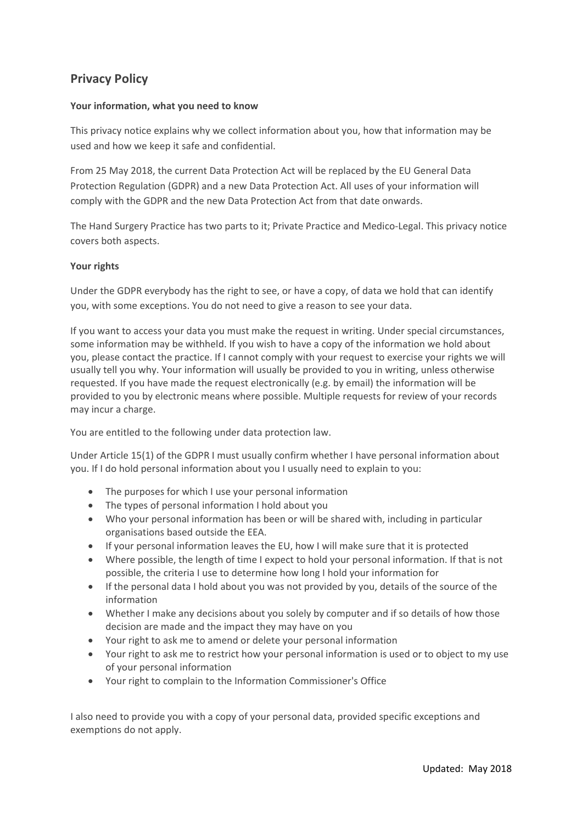# **Privacy Policy**

## **Your information, what you need to know**

This privacy notice explains why we collect information about you, how that information may be used and how we keep it safe and confidential.

From 25 May 2018, the current Data Protection Act will be replaced by the EU General Data Protection Regulation (GDPR) and a new Data Protection Act. All uses of your information will comply with the GDPR and the new Data Protection Act from that date onwards.

The Hand Surgery Practice has two parts to it; Private Practice and Medico‐Legal. This privacy notice covers both aspects.

## **Your rights**

Under the GDPR everybody has the right to see, or have a copy, of data we hold that can identify you, with some exceptions. You do not need to give a reason to see your data.

If you want to access your data you must make the request in writing. Under special circumstances, some information may be withheld. If you wish to have a copy of the information we hold about you, please contact the practice. If I cannot comply with your request to exercise your rights we will usually tell you why. Your information will usually be provided to you in writing, unless otherwise requested. If you have made the request electronically (e.g. by email) the information will be provided to you by electronic means where possible. Multiple requests for review of your records may incur a charge.

You are entitled to the following under data protection law.

Under Article 15(1) of the GDPR I must usually confirm whether I have personal information about you. If I do hold personal information about you I usually need to explain to you:

- The purposes for which I use your personal information
- The types of personal information I hold about you
- Who your personal information has been or will be shared with, including in particular organisations based outside the EEA.
- If your personal information leaves the EU, how I will make sure that it is protected
- Where possible, the length of time I expect to hold your personal information. If that is not possible, the criteria I use to determine how long I hold your information for
- If the personal data I hold about you was not provided by you, details of the source of the information
- Whether I make any decisions about you solely by computer and if so details of how those decision are made and the impact they may have on you
- Your right to ask me to amend or delete your personal information
- Your right to ask me to restrict how your personal information is used or to object to my use of your personal information
- Your right to complain to the Information Commissioner's Office

I also need to provide you with a copy of your personal data, provided specific exceptions and exemptions do not apply.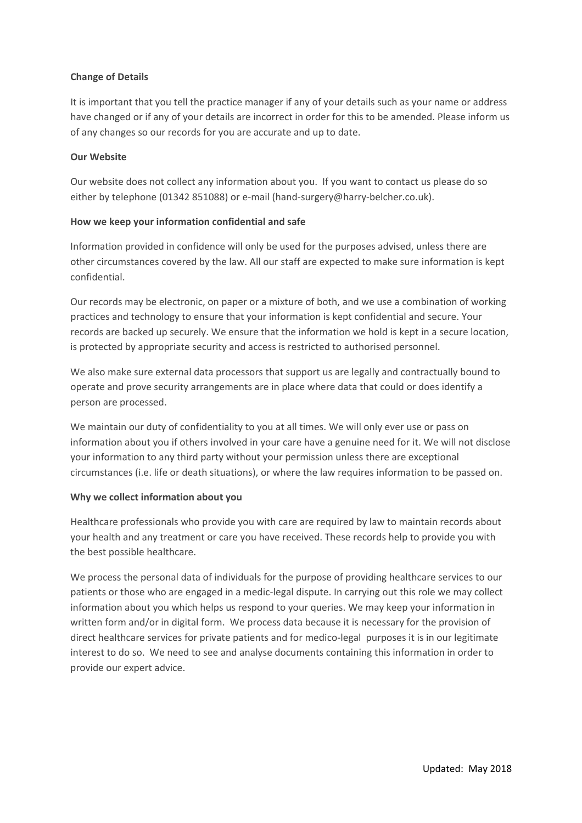## **Change of Details**

It is important that you tell the practice manager if any of your details such as your name or address have changed or if any of your details are incorrect in order for this to be amended. Please inform us of any changes so our records for you are accurate and up to date.

#### **Our Website**

Our website does not collect any information about you. If you want to contact us please do so either by telephone (01342 851088) or e-mail (hand-surgery@harry-belcher.co.uk).

## **How we keep your information confidential and safe**

Information provided in confidence will only be used for the purposes advised, unless there are other circumstances covered by the law. All our staff are expected to make sure information is kept confidential.

Our records may be electronic, on paper or a mixture of both, and we use a combination of working practices and technology to ensure that your information is kept confidential and secure. Your records are backed up securely. We ensure that the information we hold is kept in a secure location, is protected by appropriate security and access is restricted to authorised personnel.

We also make sure external data processors that support us are legally and contractually bound to operate and prove security arrangements are in place where data that could or does identify a person are processed.

We maintain our duty of confidentiality to you at all times. We will only ever use or pass on information about you if others involved in your care have a genuine need for it. We will not disclose your information to any third party without your permission unless there are exceptional circumstances (i.e. life or death situations), or where the law requires information to be passed on.

#### **Why we collect information about you**

Healthcare professionals who provide you with care are required by law to maintain records about your health and any treatment or care you have received. These records help to provide you with the best possible healthcare.

We process the personal data of individuals for the purpose of providing healthcare services to our patients or those who are engaged in a medic‐legal dispute. In carrying out this role we may collect information about you which helps us respond to your queries. We may keep your information in written form and/or in digital form. We process data because it is necessary for the provision of direct healthcare services for private patients and for medico‐legal purposes it is in our legitimate interest to do so. We need to see and analyse documents containing this information in order to provide our expert advice.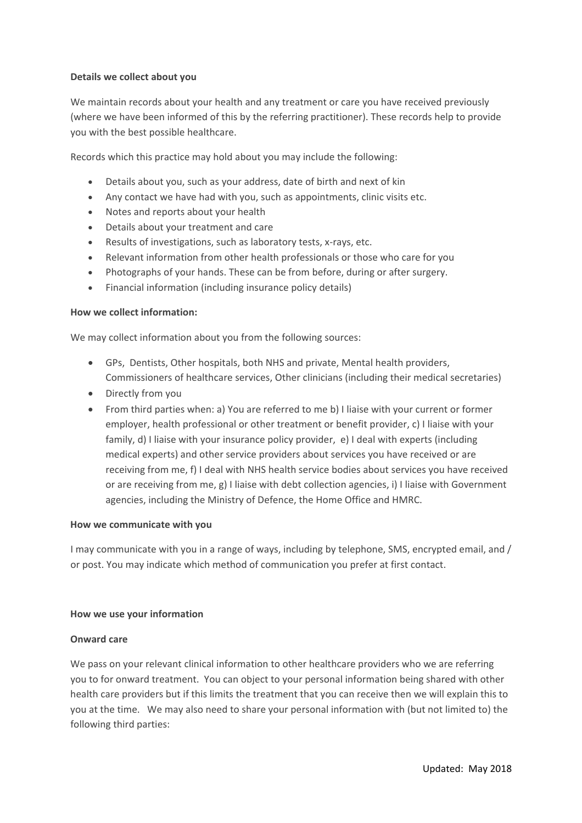#### **Details we collect about you**

We maintain records about your health and any treatment or care you have received previously (where we have been informed of this by the referring practitioner). These records help to provide you with the best possible healthcare.

Records which this practice may hold about you may include the following:

- Details about you, such as your address, date of birth and next of kin
- Any contact we have had with you, such as appointments, clinic visits etc.
- Notes and reports about your health
- Details about your treatment and care
- Results of investigations, such as laboratory tests, x-rays, etc.
- Relevant information from other health professionals or those who care for you
- Photographs of your hands. These can be from before, during or after surgery.
- Financial information (including insurance policy details)

#### **How we collect information:**

We may collect information about you from the following sources:

- GPs, Dentists, Other hospitals, both NHS and private, Mental health providers, Commissioners of healthcare services, Other clinicians (including their medical secretaries)
- Directly from you
- From third parties when: a) You are referred to me b) I liaise with your current or former employer, health professional or other treatment or benefit provider, c) I liaise with your family, d) I liaise with your insurance policy provider, e) I deal with experts (including medical experts) and other service providers about services you have received or are receiving from me, f) I deal with NHS health service bodies about services you have received or are receiving from me, g) I liaise with debt collection agencies, i) I liaise with Government agencies, including the Ministry of Defence, the Home Office and HMRC.

#### **How we communicate with you**

I may communicate with you in a range of ways, including by telephone, SMS, encrypted email, and / or post. You may indicate which method of communication you prefer at first contact.

#### **How we use your information**

#### **Onward care**

We pass on your relevant clinical information to other healthcare providers who we are referring you to for onward treatment. You can object to your personal information being shared with other health care providers but if this limits the treatment that you can receive then we will explain this to you at the time. We may also need to share your personal information with (but not limited to) the following third parties: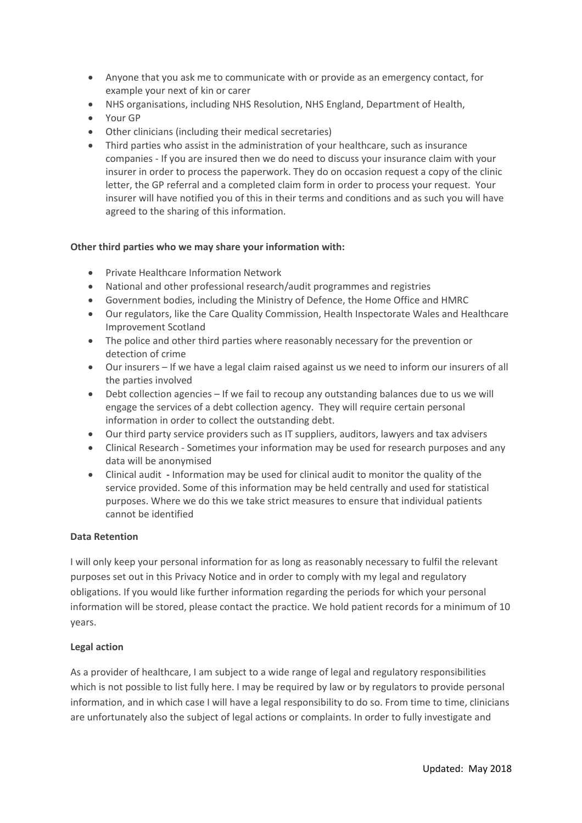- Anyone that you ask me to communicate with or provide as an emergency contact, for example your next of kin or carer
- NHS organisations, including NHS Resolution, NHS England, Department of Health,
- Your GP
- Other clinicians (including their medical secretaries)
- Third parties who assist in the administration of your healthcare, such as insurance companies ‐ If you are insured then we do need to discuss your insurance claim with your insurer in order to process the paperwork. They do on occasion request a copy of the clinic letter, the GP referral and a completed claim form in order to process your request. Your insurer will have notified you of this in their terms and conditions and as such you will have agreed to the sharing of this information.

## **Other third parties who we may share your information with:**

- Private Healthcare Information Network
- National and other professional research/audit programmes and registries
- Government bodies, including the Ministry of Defence, the Home Office and HMRC
- Our regulators, like the Care Quality Commission, Health Inspectorate Wales and Healthcare Improvement Scotland
- The police and other third parties where reasonably necessary for the prevention or detection of crime
- Our insurers If we have a legal claim raised against us we need to inform our insurers of all the parties involved
- Debt collection agencies If we fail to recoup any outstanding balances due to us we will engage the services of a debt collection agency. They will require certain personal information in order to collect the outstanding debt.
- Our third party service providers such as IT suppliers, auditors, lawyers and tax advisers
- Clinical Research ‐ Sometimes your information may be used for research purposes and any data will be anonymised
- Clinical audit **‐** Information may be used for clinical audit to monitor the quality of the service provided. Some of this information may be held centrally and used for statistical purposes. Where we do this we take strict measures to ensure that individual patients cannot be identified

#### **Data Retention**

I will only keep your personal information for as long as reasonably necessary to fulfil the relevant purposes set out in this Privacy Notice and in order to comply with my legal and regulatory obligations. If you would like further information regarding the periods for which your personal information will be stored, please contact the practice. We hold patient records for a minimum of 10 years.

## **Legal action**

As a provider of healthcare, I am subject to a wide range of legal and regulatory responsibilities which is not possible to list fully here. I may be required by law or by regulators to provide personal information, and in which case I will have a legal responsibility to do so. From time to time, clinicians are unfortunately also the subject of legal actions or complaints. In order to fully investigate and